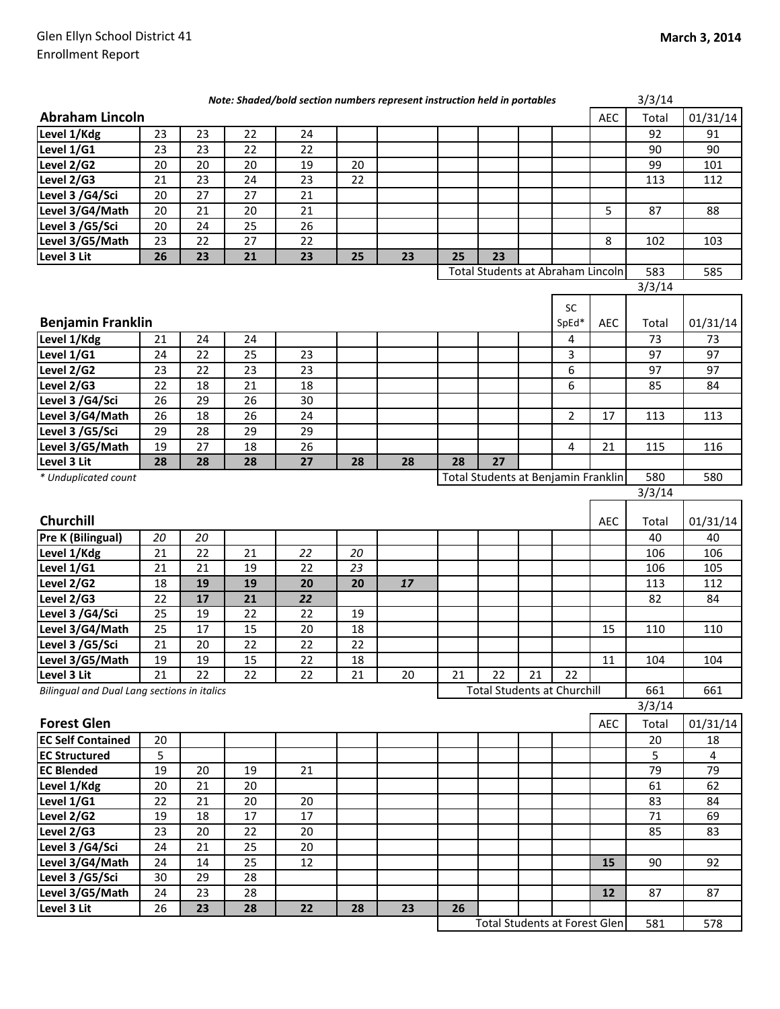| <b>Abraham Lincoln</b><br><b>AEC</b><br>Total<br>01/31/14<br>Level 1/Kdg<br>23<br>23<br>22<br>24<br>92<br>91<br>Level 1/G1<br>23<br>23<br>22<br>90<br>22<br>90<br>Level 2/G2<br>20<br>20<br>20<br>20<br>99<br>19<br>101<br>Level 2/G3<br>23<br>21<br>24<br>23<br>22<br>113<br>112<br>Level 3 /G4/Sci<br>27<br>27<br>20<br>21<br>Level 3/G4/Math<br>20<br>21<br>20<br>21<br>5<br>87<br>88<br>Level 3 /G5/Sci<br>24<br>25<br>26<br>20<br>Level 3/G5/Math<br>23<br>22<br>27<br>22<br>8<br>103<br>102<br>26<br>23<br>21<br>23<br>23<br>Level 3 Lit<br>25<br>23<br>25<br>Total Students at Abraham Lincoln<br>583<br>585<br>3/3/14<br><b>SC</b><br><b>Benjamin Franklin</b><br>SpEd*<br><b>AEC</b><br>01/31/14<br>Total<br>Level 1/Kdg<br>24<br>24<br>73<br>73<br>21<br>4<br>Level 1/G1<br>24<br>22<br>25<br>3<br>97<br>97<br>23<br>Level 2/G2<br>22<br>23<br>23<br>6<br>97<br>23<br>97<br>21<br>Level 2/G3<br>22<br>18<br>18<br>6<br>84<br>85<br>29<br>Level 3 /G4/Sci<br>26<br>26<br>30<br>18<br>$\overline{2}$<br>Level 3/G4/Math<br>26<br>26<br>24<br>17<br>113<br>113<br>Level 3 /G5/Sci<br>29<br>28<br>29<br>29<br>Level 3/G5/Math<br>27<br>18<br>26<br>$\overline{4}$<br>21<br>19<br>115<br>116<br>27<br>Level 3 Lit<br>28<br>27<br>28<br>28<br>28<br>28<br>28<br>580<br>* Unduplicated count<br>Total Students at Benjamin Franklin<br>580<br>3/3/14<br>Churchill<br>AEC<br>01/31/14<br>Total<br>20<br><b>Pre K (Bilingual)</b><br>20<br>40<br>40<br>$\overline{22}$<br>Level 1/Kdg<br>21<br>21<br>22<br>20<br>106<br>106<br>Level 1/G1<br>21<br>19<br>23<br>21<br>22<br>105<br>106<br>19<br>Level 2/G2<br>18<br>19<br>20<br>17<br>112<br>20<br>113<br>17<br>21<br>22<br>Level 2/G3<br>22<br>82<br>84<br>Level 3 /G4/Sci<br>19<br>22<br>22<br>25<br>19<br>Level 3/G4/Math<br>25<br>17<br>15<br>20<br>18<br>110<br>15<br>110<br>20<br>22<br>22<br>Level 3 /G5/Sci<br>21<br>22<br>15<br>Level 3/G5/Math<br>19<br>$\overline{22}$<br>19<br>$\overline{18}$<br>$11\,$<br>104<br>104<br>22<br>22<br>22<br>21<br>20<br>21<br>22<br>21<br>22<br>21<br>Level 3 Lit<br><b>Total Students at Churchill</b><br>Bilingual and Dual Lang sections in italics<br>661<br>661<br>3/3/14<br><b>Forest Glen</b><br><b>AEC</b><br>01/31/14<br>Total<br><b>EC Self Contained</b><br>20<br>20<br>18<br>5<br><b>EC Structured</b><br>5<br>4<br><b>EC Blended</b><br>19<br>79<br>79<br>20<br>19<br>21<br>Level 1/Kdg<br>20<br>21<br>20<br>61<br>62<br>Level 1/G1<br>22<br>20<br>21<br>20<br>83<br>84<br>Level 2/G2<br>18<br>$17\,$<br>17<br>19<br>71<br>69<br>Level 2/G3<br>20<br>22<br>83<br>23<br>20<br>85<br>Level 3 /G4/Sci<br>25<br>20<br>24<br>21<br>Level 3/G4/Math<br>25<br>12<br>24<br>14<br>15<br>90<br>92<br>Level 3 /G5/Sci<br>30<br>29<br>28<br>23<br>28<br>Level 3/G5/Math<br>24<br>12<br>87<br>87<br>Level 3 Lit<br>26<br>23<br>28<br>26<br>22<br>28<br>23<br><b>Total Students at Forest Glen</b> | Note: Shaded/bold section numbers represent instruction held in portables |  |  |  |  |  | 3/3/14 |  |  |     |     |
|-----------------------------------------------------------------------------------------------------------------------------------------------------------------------------------------------------------------------------------------------------------------------------------------------------------------------------------------------------------------------------------------------------------------------------------------------------------------------------------------------------------------------------------------------------------------------------------------------------------------------------------------------------------------------------------------------------------------------------------------------------------------------------------------------------------------------------------------------------------------------------------------------------------------------------------------------------------------------------------------------------------------------------------------------------------------------------------------------------------------------------------------------------------------------------------------------------------------------------------------------------------------------------------------------------------------------------------------------------------------------------------------------------------------------------------------------------------------------------------------------------------------------------------------------------------------------------------------------------------------------------------------------------------------------------------------------------------------------------------------------------------------------------------------------------------------------------------------------------------------------------------------------------------------------------------------------------------------------------------------------------------------------------------------------------------------------------------------------------------------------------------------------------------------------------------------------------------------------------------------------------------------------------------------------------------------------------------------------------------------------------------------------------------------------------------------------------------------------------------------------------------------------------------------------------------------------------------------------------------------------------------------------------------------------------------------------------------------------------------------------------------------------------------------------------------------------------------------------------------------------------------------------|---------------------------------------------------------------------------|--|--|--|--|--|--------|--|--|-----|-----|
|                                                                                                                                                                                                                                                                                                                                                                                                                                                                                                                                                                                                                                                                                                                                                                                                                                                                                                                                                                                                                                                                                                                                                                                                                                                                                                                                                                                                                                                                                                                                                                                                                                                                                                                                                                                                                                                                                                                                                                                                                                                                                                                                                                                                                                                                                                                                                                                                                                                                                                                                                                                                                                                                                                                                                                                                                                                                                               |                                                                           |  |  |  |  |  |        |  |  |     |     |
|                                                                                                                                                                                                                                                                                                                                                                                                                                                                                                                                                                                                                                                                                                                                                                                                                                                                                                                                                                                                                                                                                                                                                                                                                                                                                                                                                                                                                                                                                                                                                                                                                                                                                                                                                                                                                                                                                                                                                                                                                                                                                                                                                                                                                                                                                                                                                                                                                                                                                                                                                                                                                                                                                                                                                                                                                                                                                               |                                                                           |  |  |  |  |  |        |  |  |     |     |
|                                                                                                                                                                                                                                                                                                                                                                                                                                                                                                                                                                                                                                                                                                                                                                                                                                                                                                                                                                                                                                                                                                                                                                                                                                                                                                                                                                                                                                                                                                                                                                                                                                                                                                                                                                                                                                                                                                                                                                                                                                                                                                                                                                                                                                                                                                                                                                                                                                                                                                                                                                                                                                                                                                                                                                                                                                                                                               |                                                                           |  |  |  |  |  |        |  |  |     |     |
|                                                                                                                                                                                                                                                                                                                                                                                                                                                                                                                                                                                                                                                                                                                                                                                                                                                                                                                                                                                                                                                                                                                                                                                                                                                                                                                                                                                                                                                                                                                                                                                                                                                                                                                                                                                                                                                                                                                                                                                                                                                                                                                                                                                                                                                                                                                                                                                                                                                                                                                                                                                                                                                                                                                                                                                                                                                                                               |                                                                           |  |  |  |  |  |        |  |  |     |     |
|                                                                                                                                                                                                                                                                                                                                                                                                                                                                                                                                                                                                                                                                                                                                                                                                                                                                                                                                                                                                                                                                                                                                                                                                                                                                                                                                                                                                                                                                                                                                                                                                                                                                                                                                                                                                                                                                                                                                                                                                                                                                                                                                                                                                                                                                                                                                                                                                                                                                                                                                                                                                                                                                                                                                                                                                                                                                                               |                                                                           |  |  |  |  |  |        |  |  |     |     |
|                                                                                                                                                                                                                                                                                                                                                                                                                                                                                                                                                                                                                                                                                                                                                                                                                                                                                                                                                                                                                                                                                                                                                                                                                                                                                                                                                                                                                                                                                                                                                                                                                                                                                                                                                                                                                                                                                                                                                                                                                                                                                                                                                                                                                                                                                                                                                                                                                                                                                                                                                                                                                                                                                                                                                                                                                                                                                               |                                                                           |  |  |  |  |  |        |  |  |     |     |
|                                                                                                                                                                                                                                                                                                                                                                                                                                                                                                                                                                                                                                                                                                                                                                                                                                                                                                                                                                                                                                                                                                                                                                                                                                                                                                                                                                                                                                                                                                                                                                                                                                                                                                                                                                                                                                                                                                                                                                                                                                                                                                                                                                                                                                                                                                                                                                                                                                                                                                                                                                                                                                                                                                                                                                                                                                                                                               |                                                                           |  |  |  |  |  |        |  |  |     |     |
|                                                                                                                                                                                                                                                                                                                                                                                                                                                                                                                                                                                                                                                                                                                                                                                                                                                                                                                                                                                                                                                                                                                                                                                                                                                                                                                                                                                                                                                                                                                                                                                                                                                                                                                                                                                                                                                                                                                                                                                                                                                                                                                                                                                                                                                                                                                                                                                                                                                                                                                                                                                                                                                                                                                                                                                                                                                                                               |                                                                           |  |  |  |  |  |        |  |  |     |     |
|                                                                                                                                                                                                                                                                                                                                                                                                                                                                                                                                                                                                                                                                                                                                                                                                                                                                                                                                                                                                                                                                                                                                                                                                                                                                                                                                                                                                                                                                                                                                                                                                                                                                                                                                                                                                                                                                                                                                                                                                                                                                                                                                                                                                                                                                                                                                                                                                                                                                                                                                                                                                                                                                                                                                                                                                                                                                                               |                                                                           |  |  |  |  |  |        |  |  |     |     |
|                                                                                                                                                                                                                                                                                                                                                                                                                                                                                                                                                                                                                                                                                                                                                                                                                                                                                                                                                                                                                                                                                                                                                                                                                                                                                                                                                                                                                                                                                                                                                                                                                                                                                                                                                                                                                                                                                                                                                                                                                                                                                                                                                                                                                                                                                                                                                                                                                                                                                                                                                                                                                                                                                                                                                                                                                                                                                               |                                                                           |  |  |  |  |  |        |  |  |     |     |
|                                                                                                                                                                                                                                                                                                                                                                                                                                                                                                                                                                                                                                                                                                                                                                                                                                                                                                                                                                                                                                                                                                                                                                                                                                                                                                                                                                                                                                                                                                                                                                                                                                                                                                                                                                                                                                                                                                                                                                                                                                                                                                                                                                                                                                                                                                                                                                                                                                                                                                                                                                                                                                                                                                                                                                                                                                                                                               |                                                                           |  |  |  |  |  |        |  |  |     |     |
|                                                                                                                                                                                                                                                                                                                                                                                                                                                                                                                                                                                                                                                                                                                                                                                                                                                                                                                                                                                                                                                                                                                                                                                                                                                                                                                                                                                                                                                                                                                                                                                                                                                                                                                                                                                                                                                                                                                                                                                                                                                                                                                                                                                                                                                                                                                                                                                                                                                                                                                                                                                                                                                                                                                                                                                                                                                                                               |                                                                           |  |  |  |  |  |        |  |  |     |     |
|                                                                                                                                                                                                                                                                                                                                                                                                                                                                                                                                                                                                                                                                                                                                                                                                                                                                                                                                                                                                                                                                                                                                                                                                                                                                                                                                                                                                                                                                                                                                                                                                                                                                                                                                                                                                                                                                                                                                                                                                                                                                                                                                                                                                                                                                                                                                                                                                                                                                                                                                                                                                                                                                                                                                                                                                                                                                                               |                                                                           |  |  |  |  |  |        |  |  |     |     |
|                                                                                                                                                                                                                                                                                                                                                                                                                                                                                                                                                                                                                                                                                                                                                                                                                                                                                                                                                                                                                                                                                                                                                                                                                                                                                                                                                                                                                                                                                                                                                                                                                                                                                                                                                                                                                                                                                                                                                                                                                                                                                                                                                                                                                                                                                                                                                                                                                                                                                                                                                                                                                                                                                                                                                                                                                                                                                               |                                                                           |  |  |  |  |  |        |  |  |     |     |
|                                                                                                                                                                                                                                                                                                                                                                                                                                                                                                                                                                                                                                                                                                                                                                                                                                                                                                                                                                                                                                                                                                                                                                                                                                                                                                                                                                                                                                                                                                                                                                                                                                                                                                                                                                                                                                                                                                                                                                                                                                                                                                                                                                                                                                                                                                                                                                                                                                                                                                                                                                                                                                                                                                                                                                                                                                                                                               |                                                                           |  |  |  |  |  |        |  |  |     |     |
|                                                                                                                                                                                                                                                                                                                                                                                                                                                                                                                                                                                                                                                                                                                                                                                                                                                                                                                                                                                                                                                                                                                                                                                                                                                                                                                                                                                                                                                                                                                                                                                                                                                                                                                                                                                                                                                                                                                                                                                                                                                                                                                                                                                                                                                                                                                                                                                                                                                                                                                                                                                                                                                                                                                                                                                                                                                                                               |                                                                           |  |  |  |  |  |        |  |  |     |     |
|                                                                                                                                                                                                                                                                                                                                                                                                                                                                                                                                                                                                                                                                                                                                                                                                                                                                                                                                                                                                                                                                                                                                                                                                                                                                                                                                                                                                                                                                                                                                                                                                                                                                                                                                                                                                                                                                                                                                                                                                                                                                                                                                                                                                                                                                                                                                                                                                                                                                                                                                                                                                                                                                                                                                                                                                                                                                                               |                                                                           |  |  |  |  |  |        |  |  |     |     |
|                                                                                                                                                                                                                                                                                                                                                                                                                                                                                                                                                                                                                                                                                                                                                                                                                                                                                                                                                                                                                                                                                                                                                                                                                                                                                                                                                                                                                                                                                                                                                                                                                                                                                                                                                                                                                                                                                                                                                                                                                                                                                                                                                                                                                                                                                                                                                                                                                                                                                                                                                                                                                                                                                                                                                                                                                                                                                               |                                                                           |  |  |  |  |  |        |  |  |     |     |
|                                                                                                                                                                                                                                                                                                                                                                                                                                                                                                                                                                                                                                                                                                                                                                                                                                                                                                                                                                                                                                                                                                                                                                                                                                                                                                                                                                                                                                                                                                                                                                                                                                                                                                                                                                                                                                                                                                                                                                                                                                                                                                                                                                                                                                                                                                                                                                                                                                                                                                                                                                                                                                                                                                                                                                                                                                                                                               |                                                                           |  |  |  |  |  |        |  |  |     |     |
|                                                                                                                                                                                                                                                                                                                                                                                                                                                                                                                                                                                                                                                                                                                                                                                                                                                                                                                                                                                                                                                                                                                                                                                                                                                                                                                                                                                                                                                                                                                                                                                                                                                                                                                                                                                                                                                                                                                                                                                                                                                                                                                                                                                                                                                                                                                                                                                                                                                                                                                                                                                                                                                                                                                                                                                                                                                                                               |                                                                           |  |  |  |  |  |        |  |  |     |     |
|                                                                                                                                                                                                                                                                                                                                                                                                                                                                                                                                                                                                                                                                                                                                                                                                                                                                                                                                                                                                                                                                                                                                                                                                                                                                                                                                                                                                                                                                                                                                                                                                                                                                                                                                                                                                                                                                                                                                                                                                                                                                                                                                                                                                                                                                                                                                                                                                                                                                                                                                                                                                                                                                                                                                                                                                                                                                                               |                                                                           |  |  |  |  |  |        |  |  |     |     |
|                                                                                                                                                                                                                                                                                                                                                                                                                                                                                                                                                                                                                                                                                                                                                                                                                                                                                                                                                                                                                                                                                                                                                                                                                                                                                                                                                                                                                                                                                                                                                                                                                                                                                                                                                                                                                                                                                                                                                                                                                                                                                                                                                                                                                                                                                                                                                                                                                                                                                                                                                                                                                                                                                                                                                                                                                                                                                               |                                                                           |  |  |  |  |  |        |  |  |     |     |
|                                                                                                                                                                                                                                                                                                                                                                                                                                                                                                                                                                                                                                                                                                                                                                                                                                                                                                                                                                                                                                                                                                                                                                                                                                                                                                                                                                                                                                                                                                                                                                                                                                                                                                                                                                                                                                                                                                                                                                                                                                                                                                                                                                                                                                                                                                                                                                                                                                                                                                                                                                                                                                                                                                                                                                                                                                                                                               |                                                                           |  |  |  |  |  |        |  |  |     |     |
|                                                                                                                                                                                                                                                                                                                                                                                                                                                                                                                                                                                                                                                                                                                                                                                                                                                                                                                                                                                                                                                                                                                                                                                                                                                                                                                                                                                                                                                                                                                                                                                                                                                                                                                                                                                                                                                                                                                                                                                                                                                                                                                                                                                                                                                                                                                                                                                                                                                                                                                                                                                                                                                                                                                                                                                                                                                                                               |                                                                           |  |  |  |  |  |        |  |  |     |     |
|                                                                                                                                                                                                                                                                                                                                                                                                                                                                                                                                                                                                                                                                                                                                                                                                                                                                                                                                                                                                                                                                                                                                                                                                                                                                                                                                                                                                                                                                                                                                                                                                                                                                                                                                                                                                                                                                                                                                                                                                                                                                                                                                                                                                                                                                                                                                                                                                                                                                                                                                                                                                                                                                                                                                                                                                                                                                                               |                                                                           |  |  |  |  |  |        |  |  |     |     |
|                                                                                                                                                                                                                                                                                                                                                                                                                                                                                                                                                                                                                                                                                                                                                                                                                                                                                                                                                                                                                                                                                                                                                                                                                                                                                                                                                                                                                                                                                                                                                                                                                                                                                                                                                                                                                                                                                                                                                                                                                                                                                                                                                                                                                                                                                                                                                                                                                                                                                                                                                                                                                                                                                                                                                                                                                                                                                               |                                                                           |  |  |  |  |  |        |  |  |     |     |
|                                                                                                                                                                                                                                                                                                                                                                                                                                                                                                                                                                                                                                                                                                                                                                                                                                                                                                                                                                                                                                                                                                                                                                                                                                                                                                                                                                                                                                                                                                                                                                                                                                                                                                                                                                                                                                                                                                                                                                                                                                                                                                                                                                                                                                                                                                                                                                                                                                                                                                                                                                                                                                                                                                                                                                                                                                                                                               |                                                                           |  |  |  |  |  |        |  |  |     |     |
|                                                                                                                                                                                                                                                                                                                                                                                                                                                                                                                                                                                                                                                                                                                                                                                                                                                                                                                                                                                                                                                                                                                                                                                                                                                                                                                                                                                                                                                                                                                                                                                                                                                                                                                                                                                                                                                                                                                                                                                                                                                                                                                                                                                                                                                                                                                                                                                                                                                                                                                                                                                                                                                                                                                                                                                                                                                                                               |                                                                           |  |  |  |  |  |        |  |  |     |     |
|                                                                                                                                                                                                                                                                                                                                                                                                                                                                                                                                                                                                                                                                                                                                                                                                                                                                                                                                                                                                                                                                                                                                                                                                                                                                                                                                                                                                                                                                                                                                                                                                                                                                                                                                                                                                                                                                                                                                                                                                                                                                                                                                                                                                                                                                                                                                                                                                                                                                                                                                                                                                                                                                                                                                                                                                                                                                                               |                                                                           |  |  |  |  |  |        |  |  |     |     |
|                                                                                                                                                                                                                                                                                                                                                                                                                                                                                                                                                                                                                                                                                                                                                                                                                                                                                                                                                                                                                                                                                                                                                                                                                                                                                                                                                                                                                                                                                                                                                                                                                                                                                                                                                                                                                                                                                                                                                                                                                                                                                                                                                                                                                                                                                                                                                                                                                                                                                                                                                                                                                                                                                                                                                                                                                                                                                               |                                                                           |  |  |  |  |  |        |  |  |     |     |
|                                                                                                                                                                                                                                                                                                                                                                                                                                                                                                                                                                                                                                                                                                                                                                                                                                                                                                                                                                                                                                                                                                                                                                                                                                                                                                                                                                                                                                                                                                                                                                                                                                                                                                                                                                                                                                                                                                                                                                                                                                                                                                                                                                                                                                                                                                                                                                                                                                                                                                                                                                                                                                                                                                                                                                                                                                                                                               |                                                                           |  |  |  |  |  |        |  |  |     |     |
|                                                                                                                                                                                                                                                                                                                                                                                                                                                                                                                                                                                                                                                                                                                                                                                                                                                                                                                                                                                                                                                                                                                                                                                                                                                                                                                                                                                                                                                                                                                                                                                                                                                                                                                                                                                                                                                                                                                                                                                                                                                                                                                                                                                                                                                                                                                                                                                                                                                                                                                                                                                                                                                                                                                                                                                                                                                                                               |                                                                           |  |  |  |  |  |        |  |  |     |     |
|                                                                                                                                                                                                                                                                                                                                                                                                                                                                                                                                                                                                                                                                                                                                                                                                                                                                                                                                                                                                                                                                                                                                                                                                                                                                                                                                                                                                                                                                                                                                                                                                                                                                                                                                                                                                                                                                                                                                                                                                                                                                                                                                                                                                                                                                                                                                                                                                                                                                                                                                                                                                                                                                                                                                                                                                                                                                                               |                                                                           |  |  |  |  |  |        |  |  |     |     |
|                                                                                                                                                                                                                                                                                                                                                                                                                                                                                                                                                                                                                                                                                                                                                                                                                                                                                                                                                                                                                                                                                                                                                                                                                                                                                                                                                                                                                                                                                                                                                                                                                                                                                                                                                                                                                                                                                                                                                                                                                                                                                                                                                                                                                                                                                                                                                                                                                                                                                                                                                                                                                                                                                                                                                                                                                                                                                               |                                                                           |  |  |  |  |  |        |  |  |     |     |
|                                                                                                                                                                                                                                                                                                                                                                                                                                                                                                                                                                                                                                                                                                                                                                                                                                                                                                                                                                                                                                                                                                                                                                                                                                                                                                                                                                                                                                                                                                                                                                                                                                                                                                                                                                                                                                                                                                                                                                                                                                                                                                                                                                                                                                                                                                                                                                                                                                                                                                                                                                                                                                                                                                                                                                                                                                                                                               |                                                                           |  |  |  |  |  |        |  |  |     |     |
|                                                                                                                                                                                                                                                                                                                                                                                                                                                                                                                                                                                                                                                                                                                                                                                                                                                                                                                                                                                                                                                                                                                                                                                                                                                                                                                                                                                                                                                                                                                                                                                                                                                                                                                                                                                                                                                                                                                                                                                                                                                                                                                                                                                                                                                                                                                                                                                                                                                                                                                                                                                                                                                                                                                                                                                                                                                                                               |                                                                           |  |  |  |  |  |        |  |  |     |     |
|                                                                                                                                                                                                                                                                                                                                                                                                                                                                                                                                                                                                                                                                                                                                                                                                                                                                                                                                                                                                                                                                                                                                                                                                                                                                                                                                                                                                                                                                                                                                                                                                                                                                                                                                                                                                                                                                                                                                                                                                                                                                                                                                                                                                                                                                                                                                                                                                                                                                                                                                                                                                                                                                                                                                                                                                                                                                                               |                                                                           |  |  |  |  |  |        |  |  |     |     |
|                                                                                                                                                                                                                                                                                                                                                                                                                                                                                                                                                                                                                                                                                                                                                                                                                                                                                                                                                                                                                                                                                                                                                                                                                                                                                                                                                                                                                                                                                                                                                                                                                                                                                                                                                                                                                                                                                                                                                                                                                                                                                                                                                                                                                                                                                                                                                                                                                                                                                                                                                                                                                                                                                                                                                                                                                                                                                               |                                                                           |  |  |  |  |  |        |  |  |     |     |
|                                                                                                                                                                                                                                                                                                                                                                                                                                                                                                                                                                                                                                                                                                                                                                                                                                                                                                                                                                                                                                                                                                                                                                                                                                                                                                                                                                                                                                                                                                                                                                                                                                                                                                                                                                                                                                                                                                                                                                                                                                                                                                                                                                                                                                                                                                                                                                                                                                                                                                                                                                                                                                                                                                                                                                                                                                                                                               |                                                                           |  |  |  |  |  |        |  |  |     |     |
|                                                                                                                                                                                                                                                                                                                                                                                                                                                                                                                                                                                                                                                                                                                                                                                                                                                                                                                                                                                                                                                                                                                                                                                                                                                                                                                                                                                                                                                                                                                                                                                                                                                                                                                                                                                                                                                                                                                                                                                                                                                                                                                                                                                                                                                                                                                                                                                                                                                                                                                                                                                                                                                                                                                                                                                                                                                                                               |                                                                           |  |  |  |  |  |        |  |  |     |     |
|                                                                                                                                                                                                                                                                                                                                                                                                                                                                                                                                                                                                                                                                                                                                                                                                                                                                                                                                                                                                                                                                                                                                                                                                                                                                                                                                                                                                                                                                                                                                                                                                                                                                                                                                                                                                                                                                                                                                                                                                                                                                                                                                                                                                                                                                                                                                                                                                                                                                                                                                                                                                                                                                                                                                                                                                                                                                                               |                                                                           |  |  |  |  |  |        |  |  |     |     |
|                                                                                                                                                                                                                                                                                                                                                                                                                                                                                                                                                                                                                                                                                                                                                                                                                                                                                                                                                                                                                                                                                                                                                                                                                                                                                                                                                                                                                                                                                                                                                                                                                                                                                                                                                                                                                                                                                                                                                                                                                                                                                                                                                                                                                                                                                                                                                                                                                                                                                                                                                                                                                                                                                                                                                                                                                                                                                               |                                                                           |  |  |  |  |  |        |  |  |     |     |
|                                                                                                                                                                                                                                                                                                                                                                                                                                                                                                                                                                                                                                                                                                                                                                                                                                                                                                                                                                                                                                                                                                                                                                                                                                                                                                                                                                                                                                                                                                                                                                                                                                                                                                                                                                                                                                                                                                                                                                                                                                                                                                                                                                                                                                                                                                                                                                                                                                                                                                                                                                                                                                                                                                                                                                                                                                                                                               |                                                                           |  |  |  |  |  |        |  |  |     |     |
|                                                                                                                                                                                                                                                                                                                                                                                                                                                                                                                                                                                                                                                                                                                                                                                                                                                                                                                                                                                                                                                                                                                                                                                                                                                                                                                                                                                                                                                                                                                                                                                                                                                                                                                                                                                                                                                                                                                                                                                                                                                                                                                                                                                                                                                                                                                                                                                                                                                                                                                                                                                                                                                                                                                                                                                                                                                                                               |                                                                           |  |  |  |  |  |        |  |  |     |     |
|                                                                                                                                                                                                                                                                                                                                                                                                                                                                                                                                                                                                                                                                                                                                                                                                                                                                                                                                                                                                                                                                                                                                                                                                                                                                                                                                                                                                                                                                                                                                                                                                                                                                                                                                                                                                                                                                                                                                                                                                                                                                                                                                                                                                                                                                                                                                                                                                                                                                                                                                                                                                                                                                                                                                                                                                                                                                                               |                                                                           |  |  |  |  |  |        |  |  |     |     |
|                                                                                                                                                                                                                                                                                                                                                                                                                                                                                                                                                                                                                                                                                                                                                                                                                                                                                                                                                                                                                                                                                                                                                                                                                                                                                                                                                                                                                                                                                                                                                                                                                                                                                                                                                                                                                                                                                                                                                                                                                                                                                                                                                                                                                                                                                                                                                                                                                                                                                                                                                                                                                                                                                                                                                                                                                                                                                               |                                                                           |  |  |  |  |  |        |  |  |     |     |
|                                                                                                                                                                                                                                                                                                                                                                                                                                                                                                                                                                                                                                                                                                                                                                                                                                                                                                                                                                                                                                                                                                                                                                                                                                                                                                                                                                                                                                                                                                                                                                                                                                                                                                                                                                                                                                                                                                                                                                                                                                                                                                                                                                                                                                                                                                                                                                                                                                                                                                                                                                                                                                                                                                                                                                                                                                                                                               |                                                                           |  |  |  |  |  |        |  |  |     |     |
|                                                                                                                                                                                                                                                                                                                                                                                                                                                                                                                                                                                                                                                                                                                                                                                                                                                                                                                                                                                                                                                                                                                                                                                                                                                                                                                                                                                                                                                                                                                                                                                                                                                                                                                                                                                                                                                                                                                                                                                                                                                                                                                                                                                                                                                                                                                                                                                                                                                                                                                                                                                                                                                                                                                                                                                                                                                                                               |                                                                           |  |  |  |  |  |        |  |  |     |     |
|                                                                                                                                                                                                                                                                                                                                                                                                                                                                                                                                                                                                                                                                                                                                                                                                                                                                                                                                                                                                                                                                                                                                                                                                                                                                                                                                                                                                                                                                                                                                                                                                                                                                                                                                                                                                                                                                                                                                                                                                                                                                                                                                                                                                                                                                                                                                                                                                                                                                                                                                                                                                                                                                                                                                                                                                                                                                                               |                                                                           |  |  |  |  |  |        |  |  |     |     |
|                                                                                                                                                                                                                                                                                                                                                                                                                                                                                                                                                                                                                                                                                                                                                                                                                                                                                                                                                                                                                                                                                                                                                                                                                                                                                                                                                                                                                                                                                                                                                                                                                                                                                                                                                                                                                                                                                                                                                                                                                                                                                                                                                                                                                                                                                                                                                                                                                                                                                                                                                                                                                                                                                                                                                                                                                                                                                               |                                                                           |  |  |  |  |  |        |  |  |     |     |
|                                                                                                                                                                                                                                                                                                                                                                                                                                                                                                                                                                                                                                                                                                                                                                                                                                                                                                                                                                                                                                                                                                                                                                                                                                                                                                                                                                                                                                                                                                                                                                                                                                                                                                                                                                                                                                                                                                                                                                                                                                                                                                                                                                                                                                                                                                                                                                                                                                                                                                                                                                                                                                                                                                                                                                                                                                                                                               |                                                                           |  |  |  |  |  |        |  |  |     |     |
|                                                                                                                                                                                                                                                                                                                                                                                                                                                                                                                                                                                                                                                                                                                                                                                                                                                                                                                                                                                                                                                                                                                                                                                                                                                                                                                                                                                                                                                                                                                                                                                                                                                                                                                                                                                                                                                                                                                                                                                                                                                                                                                                                                                                                                                                                                                                                                                                                                                                                                                                                                                                                                                                                                                                                                                                                                                                                               |                                                                           |  |  |  |  |  |        |  |  |     |     |
|                                                                                                                                                                                                                                                                                                                                                                                                                                                                                                                                                                                                                                                                                                                                                                                                                                                                                                                                                                                                                                                                                                                                                                                                                                                                                                                                                                                                                                                                                                                                                                                                                                                                                                                                                                                                                                                                                                                                                                                                                                                                                                                                                                                                                                                                                                                                                                                                                                                                                                                                                                                                                                                                                                                                                                                                                                                                                               |                                                                           |  |  |  |  |  |        |  |  | 581 | 578 |